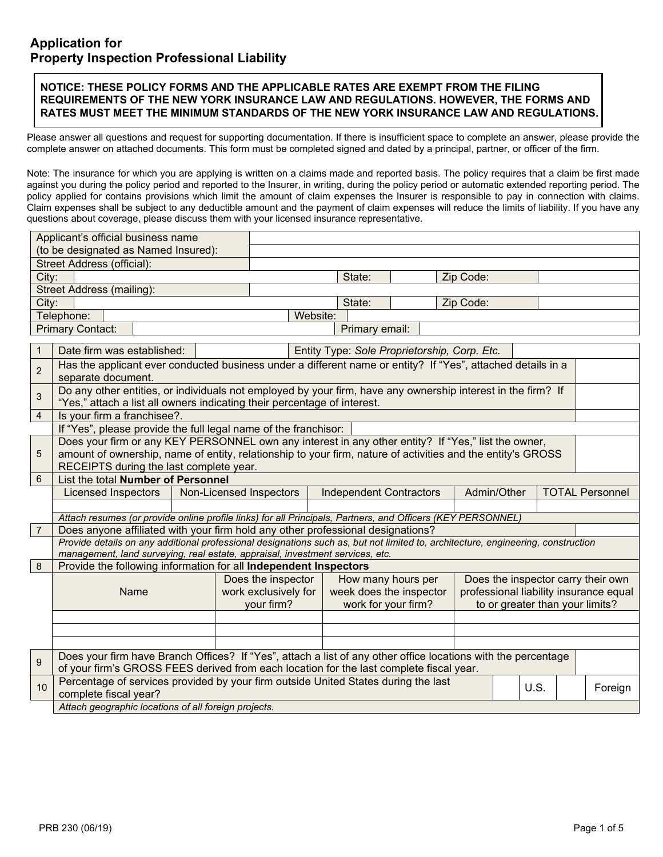#### **NOTICE: THESE POLICY FORMS AND THE APPLICABLE RATES ARE EXEMPT FROM THE FILING REQUIREMENTS OF THE NEW YORK INSURANCE LAW AND REGULATIONS. HOWEVER, THE FORMS AND RATES MUST MEET THE MINIMUM STANDARDS OF THE NEW YORK INSURANCE LAW AND REGULATIONS.**

Please answer all questions and request for supporting documentation. If there is insufficient space to complete an answer, please provide the complete answer on attached documents. This form must be completed signed and dated by a principal, partner, or officer of the firm.

Note: The insurance for which you are applying is written on a claims made and reported basis. The policy requires that a claim be first made against you during the policy period and reported to the Insurer, in writing, during the policy period or automatic extended reporting period. The policy applied for contains provisions which limit the amount of claim expenses the Insurer is responsible to pay in connection with claims. Claim expenses shall be subject to any deductible amount and the payment of claim expenses will reduce the limits of liability. If you have any questions about coverage, please discuss them with your licensed insurance representative.

|                                  | Applicant's official business name<br>(to be designated as Named Insured):                                                                                                                                        |                                                                                                             |                                              |                                        |                                       |                                 |  |         |  |  |  |
|----------------------------------|-------------------------------------------------------------------------------------------------------------------------------------------------------------------------------------------------------------------|-------------------------------------------------------------------------------------------------------------|----------------------------------------------|----------------------------------------|---------------------------------------|---------------------------------|--|---------|--|--|--|
| Street Address (official):       |                                                                                                                                                                                                                   |                                                                                                             |                                              |                                        |                                       |                                 |  |         |  |  |  |
| City:                            |                                                                                                                                                                                                                   |                                                                                                             | State:                                       |                                        | Zip Code:                             |                                 |  |         |  |  |  |
| <b>Street Address (mailing):</b> |                                                                                                                                                                                                                   |                                                                                                             |                                              |                                        |                                       |                                 |  |         |  |  |  |
| City:<br>State:<br>Zip Code:     |                                                                                                                                                                                                                   |                                                                                                             |                                              |                                        |                                       |                                 |  |         |  |  |  |
|                                  | Telephone:                                                                                                                                                                                                        |                                                                                                             | Website:                                     |                                        |                                       |                                 |  |         |  |  |  |
|                                  | <b>Primary Contact:</b>                                                                                                                                                                                           |                                                                                                             | Primary email:                               |                                        |                                       |                                 |  |         |  |  |  |
|                                  |                                                                                                                                                                                                                   |                                                                                                             |                                              |                                        |                                       |                                 |  |         |  |  |  |
| $\mathbf{1}$                     | Date firm was established:                                                                                                                                                                                        |                                                                                                             | Entity Type: Sole Proprietorship, Corp. Etc. |                                        |                                       |                                 |  |         |  |  |  |
| $\overline{c}$                   | Has the applicant ever conducted business under a different name or entity? If "Yes", attached details in a<br>separate document.                                                                                 |                                                                                                             |                                              |                                        |                                       |                                 |  |         |  |  |  |
| $\sqrt{3}$                       | Do any other entities, or individuals not employed by your firm, have any ownership interest in the firm? If<br>"Yes," attach a list all owners indicating their percentage of interest.                          |                                                                                                             |                                              |                                        |                                       |                                 |  |         |  |  |  |
| $\overline{4}$                   | Is your firm a franchisee?.                                                                                                                                                                                       |                                                                                                             |                                              |                                        |                                       |                                 |  |         |  |  |  |
|                                  | If "Yes", please provide the full legal name of the franchisor:                                                                                                                                                   |                                                                                                             |                                              |                                        |                                       |                                 |  |         |  |  |  |
|                                  | Does your firm or any KEY PERSONNEL own any interest in any other entity? If "Yes," list the owner,                                                                                                               |                                                                                                             |                                              |                                        |                                       |                                 |  |         |  |  |  |
| 5                                |                                                                                                                                                                                                                   | amount of ownership, name of entity, relationship to your firm, nature of activities and the entity's GROSS |                                              |                                        |                                       |                                 |  |         |  |  |  |
|                                  | RECEIPTS during the last complete year.                                                                                                                                                                           |                                                                                                             |                                              |                                        |                                       |                                 |  |         |  |  |  |
| 6                                | List the total Number of Personnel                                                                                                                                                                                |                                                                                                             |                                              |                                        |                                       |                                 |  |         |  |  |  |
|                                  | Licensed Inspectors                                                                                                                                                                                               | Non-Licensed Inspectors                                                                                     | <b>Independent Contractors</b>               |                                        | Admin/Other<br><b>TOTAL Personnel</b> |                                 |  |         |  |  |  |
|                                  |                                                                                                                                                                                                                   |                                                                                                             |                                              |                                        |                                       |                                 |  |         |  |  |  |
|                                  | Attach resumes (or provide online profile links) for all Principals, Partners, and Officers (KEY PERSONNEL)                                                                                                       |                                                                                                             |                                              |                                        |                                       |                                 |  |         |  |  |  |
| $\overline{7}$                   | Does anyone affiliated with your firm hold any other professional designations?                                                                                                                                   |                                                                                                             |                                              |                                        |                                       |                                 |  |         |  |  |  |
|                                  | Provide details on any additional professional designations such as, but not limited to, architecture, engineering, construction<br>management, land surveying, real estate, appraisal, investment services, etc. |                                                                                                             |                                              |                                        |                                       |                                 |  |         |  |  |  |
| 8                                | Provide the following information for all Independent Inspectors                                                                                                                                                  |                                                                                                             |                                              |                                        |                                       |                                 |  |         |  |  |  |
|                                  |                                                                                                                                                                                                                   | Does the inspector                                                                                          |                                              | How many hours per                     | Does the inspector carry their own    |                                 |  |         |  |  |  |
|                                  | work exclusively for<br>Name                                                                                                                                                                                      |                                                                                                             | week does the inspector                      | professional liability insurance equal |                                       |                                 |  |         |  |  |  |
|                                  |                                                                                                                                                                                                                   | your firm?                                                                                                  |                                              | work for your firm?                    |                                       | to or greater than your limits? |  |         |  |  |  |
|                                  |                                                                                                                                                                                                                   |                                                                                                             |                                              |                                        |                                       |                                 |  |         |  |  |  |
|                                  |                                                                                                                                                                                                                   |                                                                                                             |                                              |                                        |                                       |                                 |  |         |  |  |  |
|                                  |                                                                                                                                                                                                                   |                                                                                                             |                                              |                                        |                                       |                                 |  |         |  |  |  |
| $\overline{9}$                   | Does your firm have Branch Offices? If "Yes", attach a list of any other office locations with the percentage<br>of your firm's GROSS FEES derived from each location for the last complete fiscal year.          |                                                                                                             |                                              |                                        |                                       |                                 |  |         |  |  |  |
| 10                               | Percentage of services provided by your firm outside United States during the last<br>U.S.<br>complete fiscal year?                                                                                               |                                                                                                             |                                              |                                        |                                       |                                 |  | Foreign |  |  |  |
|                                  | Attach geographic locations of all foreign projects.                                                                                                                                                              |                                                                                                             |                                              |                                        |                                       |                                 |  |         |  |  |  |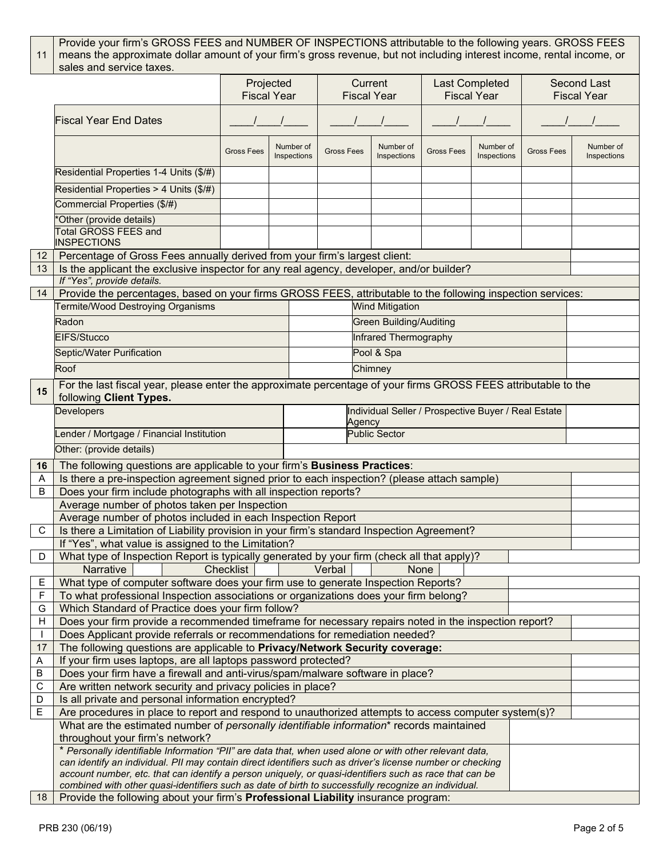#### 11 Provide your firm's GROSS FEES and NUMBER OF INSPECTIONS attributable to the following years. GROSS FEES means the approximate dollar amount of your firm's gross revenue, but not including interest income, rental income, or sales and service taxes.

|             |                                                                                                                                                                                                                       | Projected<br><b>Fiscal Year</b>               |  |  | Current<br><b>Fiscal Year</b> |                                | Last Completed<br><b>Fiscal Year</b> |                          | <b>Second Last</b><br><b>Fiscal Year</b> |                          |  |
|-------------|-----------------------------------------------------------------------------------------------------------------------------------------------------------------------------------------------------------------------|-----------------------------------------------|--|--|-------------------------------|--------------------------------|--------------------------------------|--------------------------|------------------------------------------|--------------------------|--|
|             | <b>Fiscal Year End Dates</b>                                                                                                                                                                                          |                                               |  |  |                               |                                |                                      |                          |                                          |                          |  |
|             |                                                                                                                                                                                                                       | Number of<br><b>Gross Fees</b><br>Inspections |  |  | <b>Gross Fees</b>             | Number of<br>Inspections       | <b>Gross Fees</b>                    | Number of<br>Inspections | <b>Gross Fees</b>                        | Number of<br>Inspections |  |
|             | Residential Properties 1-4 Units (\$/#)                                                                                                                                                                               |                                               |  |  |                               |                                |                                      |                          |                                          |                          |  |
|             | Residential Properties > 4 Units (\$/#)                                                                                                                                                                               |                                               |  |  |                               |                                |                                      |                          |                                          |                          |  |
|             | Commercial Properties (\$/#)                                                                                                                                                                                          |                                               |  |  |                               |                                |                                      |                          |                                          |                          |  |
|             | Other (provide details)                                                                                                                                                                                               |                                               |  |  |                               |                                |                                      |                          |                                          |                          |  |
|             | <b>Total GROSS FEES and</b>                                                                                                                                                                                           |                                               |  |  |                               |                                |                                      |                          |                                          |                          |  |
|             | <b>INSPECTIONS</b>                                                                                                                                                                                                    |                                               |  |  |                               |                                |                                      |                          |                                          |                          |  |
| 12          | Percentage of Gross Fees annually derived from your firm's largest client:                                                                                                                                            |                                               |  |  |                               |                                |                                      |                          |                                          |                          |  |
| 13          | Is the applicant the exclusive inspector for any real agency, developer, and/or builder?                                                                                                                              |                                               |  |  |                               |                                |                                      |                          |                                          |                          |  |
|             | If "Yes", provide details.                                                                                                                                                                                            |                                               |  |  |                               |                                |                                      |                          |                                          |                          |  |
| 14          | Provide the percentages, based on your firms GROSS FEES, attributable to the following inspection services:<br>Termite/Wood Destroying Organisms<br><b>Wind Mitigation</b>                                            |                                               |  |  |                               |                                |                                      |                          |                                          |                          |  |
|             |                                                                                                                                                                                                                       |                                               |  |  |                               |                                |                                      |                          |                                          |                          |  |
|             | Radon                                                                                                                                                                                                                 |                                               |  |  |                               | <b>Green Building/Auditing</b> |                                      |                          |                                          |                          |  |
|             | EIFS/Stucco                                                                                                                                                                                                           |                                               |  |  |                               | <b>Infrared Thermography</b>   |                                      |                          |                                          |                          |  |
|             | Septic/Water Purification                                                                                                                                                                                             |                                               |  |  |                               | Pool & Spa                     |                                      |                          |                                          |                          |  |
|             | Roof                                                                                                                                                                                                                  |                                               |  |  |                               | Chimney                        |                                      |                          |                                          |                          |  |
| 15          | For the last fiscal year, please enter the approximate percentage of your firms GROSS FEES attributable to the<br>following Client Types.                                                                             |                                               |  |  |                               |                                |                                      |                          |                                          |                          |  |
|             | Individual Seller / Prospective Buyer / Real Estate<br>Developers<br>Agency                                                                                                                                           |                                               |  |  |                               |                                |                                      |                          |                                          |                          |  |
|             | ender / Mortgage / Financial Institution                                                                                                                                                                              |                                               |  |  | <b>Public Sector</b>          |                                |                                      |                          |                                          |                          |  |
|             | Other: (provide details)                                                                                                                                                                                              |                                               |  |  |                               |                                |                                      |                          |                                          |                          |  |
| 16          |                                                                                                                                                                                                                       |                                               |  |  |                               |                                |                                      |                          |                                          |                          |  |
| Α           | The following questions are applicable to your firm's Business Practices:<br>Is there a pre-inspection agreement signed prior to each inspection? (please attach sample)                                              |                                               |  |  |                               |                                |                                      |                          |                                          |                          |  |
| B           | Does your firm include photographs with all inspection reports?                                                                                                                                                       |                                               |  |  |                               |                                |                                      |                          |                                          |                          |  |
|             | Average number of photos taken per Inspection                                                                                                                                                                         |                                               |  |  |                               |                                |                                      |                          |                                          |                          |  |
|             | Average number of photos included in each Inspection Report                                                                                                                                                           |                                               |  |  |                               |                                |                                      |                          |                                          |                          |  |
| C           | Is there a Limitation of Liability provision in your firm's standard Inspection Agreement?                                                                                                                            |                                               |  |  |                               |                                |                                      |                          |                                          |                          |  |
|             | If "Yes", what value is assigned to the Limitation?                                                                                                                                                                   |                                               |  |  |                               |                                |                                      |                          |                                          |                          |  |
| D           | What type of Inspection Report is typically generated by your firm (check all that apply)?                                                                                                                            |                                               |  |  |                               |                                |                                      |                          |                                          |                          |  |
|             | <b>Narrative</b>                                                                                                                                                                                                      | <b>Checklist</b>                              |  |  | Verbal                        | <b>None</b>                    |                                      |                          |                                          |                          |  |
| E<br>F      | What type of computer software does your firm use to generate Inspection Reports?<br>To what professional Inspection associations or organizations does your firm belong?                                             |                                               |  |  |                               |                                |                                      |                          |                                          |                          |  |
| G           | Which Standard of Practice does your firm follow?                                                                                                                                                                     |                                               |  |  |                               |                                |                                      |                          |                                          |                          |  |
| H           | Does your firm provide a recommended timeframe for necessary repairs noted in the inspection report?                                                                                                                  |                                               |  |  |                               |                                |                                      |                          |                                          |                          |  |
|             | Does Applicant provide referrals or recommendations for remediation needed?                                                                                                                                           |                                               |  |  |                               |                                |                                      |                          |                                          |                          |  |
| 17          | The following questions are applicable to Privacy/Network Security coverage:                                                                                                                                          |                                               |  |  |                               |                                |                                      |                          |                                          |                          |  |
| Α           | If your firm uses laptops, are all laptops password protected?                                                                                                                                                        |                                               |  |  |                               |                                |                                      |                          |                                          |                          |  |
| B           | Does your firm have a firewall and anti-virus/spam/malware software in place?                                                                                                                                         |                                               |  |  |                               |                                |                                      |                          |                                          |                          |  |
| $\mathsf C$ | Are written network security and privacy policies in place?                                                                                                                                                           |                                               |  |  |                               |                                |                                      |                          |                                          |                          |  |
| D           | Is all private and personal information encrypted?                                                                                                                                                                    |                                               |  |  |                               |                                |                                      |                          |                                          |                          |  |
| Е           | Are procedures in place to report and respond to unauthorized attempts to access computer system(s)?                                                                                                                  |                                               |  |  |                               |                                |                                      |                          |                                          |                          |  |
|             | What are the estimated number of personally identifiable information* records maintained                                                                                                                              |                                               |  |  |                               |                                |                                      |                          |                                          |                          |  |
|             | throughout your firm's network?                                                                                                                                                                                       |                                               |  |  |                               |                                |                                      |                          |                                          |                          |  |
|             | * Personally identifiable Information "PII" are data that, when used alone or with other relevant data,<br>can identify an individual. PII may contain direct identifiers such as driver's license number or checking |                                               |  |  |                               |                                |                                      |                          |                                          |                          |  |
|             | account number, etc. that can identify a person uniquely, or quasi-identifiers such as race that can be                                                                                                               |                                               |  |  |                               |                                |                                      |                          |                                          |                          |  |
|             | combined with other quasi-identifiers such as date of birth to successfully recognize an individual.                                                                                                                  |                                               |  |  |                               |                                |                                      |                          |                                          |                          |  |
| 18          | Provide the following about your firm's Professional Liability insurance program:                                                                                                                                     |                                               |  |  |                               |                                |                                      |                          |                                          |                          |  |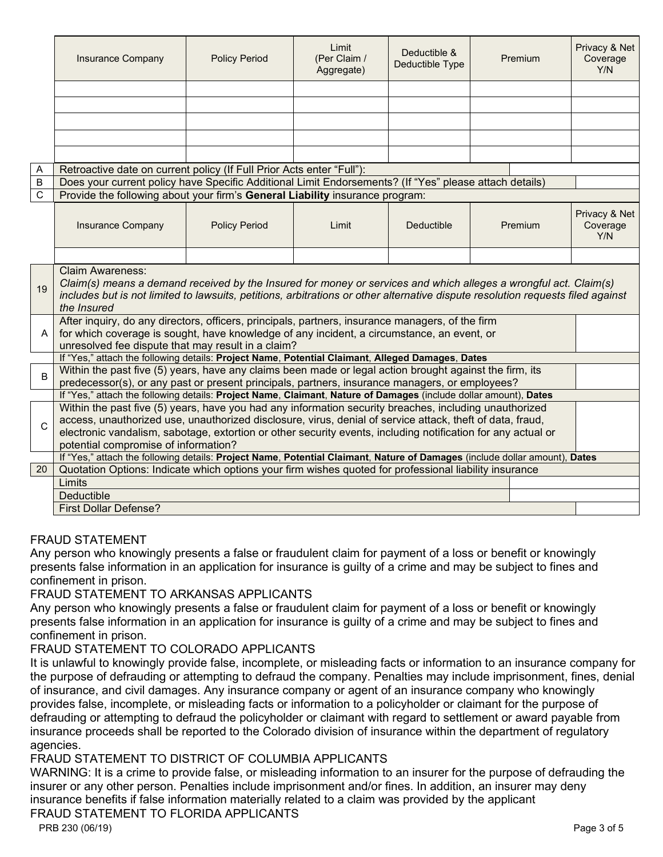|              | <b>Insurance Company</b>                                                                                                                                                                                                                                                                                                                                                    | <b>Policy Period</b> | Limit<br>(Per Claim /<br>Aggregate) | Deductible &<br>Deductible Type |  | Premium | Privacy & Net<br>Coverage<br>Y/N |  |  |  |
|--------------|-----------------------------------------------------------------------------------------------------------------------------------------------------------------------------------------------------------------------------------------------------------------------------------------------------------------------------------------------------------------------------|----------------------|-------------------------------------|---------------------------------|--|---------|----------------------------------|--|--|--|
|              |                                                                                                                                                                                                                                                                                                                                                                             |                      |                                     |                                 |  |         |                                  |  |  |  |
|              |                                                                                                                                                                                                                                                                                                                                                                             |                      |                                     |                                 |  |         |                                  |  |  |  |
|              |                                                                                                                                                                                                                                                                                                                                                                             |                      |                                     |                                 |  |         |                                  |  |  |  |
|              |                                                                                                                                                                                                                                                                                                                                                                             |                      |                                     |                                 |  |         |                                  |  |  |  |
|              |                                                                                                                                                                                                                                                                                                                                                                             |                      |                                     |                                 |  |         |                                  |  |  |  |
| Α            | Retroactive date on current policy (If Full Prior Acts enter "Full"):                                                                                                                                                                                                                                                                                                       |                      |                                     |                                 |  |         |                                  |  |  |  |
| B            | Does your current policy have Specific Additional Limit Endorsements? (If "Yes" please attach details)                                                                                                                                                                                                                                                                      |                      |                                     |                                 |  |         |                                  |  |  |  |
| C            | Provide the following about your firm's General Liability insurance program:                                                                                                                                                                                                                                                                                                |                      |                                     |                                 |  |         |                                  |  |  |  |
|              | <b>Insurance Company</b>                                                                                                                                                                                                                                                                                                                                                    | <b>Policy Period</b> | Limit                               | Deductible                      |  | Premium | Privacy & Net<br>Coverage<br>Y/N |  |  |  |
|              |                                                                                                                                                                                                                                                                                                                                                                             |                      |                                     |                                 |  |         |                                  |  |  |  |
| 19           | <b>Claim Awareness:</b><br>Claim(s) means a demand received by the Insured for money or services and which alleges a wrongful act. Claim(s)<br>includes but is not limited to lawsuits, petitions, arbitrations or other alternative dispute resolution requests filed against<br>the Insured                                                                               |                      |                                     |                                 |  |         |                                  |  |  |  |
| A            | After inquiry, do any directors, officers, principals, partners, insurance managers, of the firm<br>for which coverage is sought, have knowledge of any incident, a circumstance, an event, or<br>unresolved fee dispute that may result in a claim?                                                                                                                        |                      |                                     |                                 |  |         |                                  |  |  |  |
|              | If "Yes," attach the following details: Project Name, Potential Claimant, Alleged Damages, Dates                                                                                                                                                                                                                                                                            |                      |                                     |                                 |  |         |                                  |  |  |  |
| <sub>B</sub> | Within the past five (5) years, have any claims been made or legal action brought against the firm, its                                                                                                                                                                                                                                                                     |                      |                                     |                                 |  |         |                                  |  |  |  |
|              | predecessor(s), or any past or present principals, partners, insurance managers, or employees?<br>If "Yes," attach the following details: Project Name, Claimant, Nature of Damages (include dollar amount), Dates                                                                                                                                                          |                      |                                     |                                 |  |         |                                  |  |  |  |
| C            | Within the past five (5) years, have you had any information security breaches, including unauthorized<br>access, unauthorized use, unauthorized disclosure, virus, denial of service attack, theft of data, fraud,<br>electronic vandalism, sabotage, extortion or other security events, including notification for any actual or<br>potential compromise of information? |                      |                                     |                                 |  |         |                                  |  |  |  |
|              | If "Yes," attach the following details: Project Name, Potential Claimant, Nature of Damages (include dollar amount), Dates                                                                                                                                                                                                                                                  |                      |                                     |                                 |  |         |                                  |  |  |  |
| 20           | Quotation Options: Indicate which options your firm wishes quoted for professional liability insurance                                                                                                                                                                                                                                                                      |                      |                                     |                                 |  |         |                                  |  |  |  |
|              | Limits                                                                                                                                                                                                                                                                                                                                                                      |                      |                                     |                                 |  |         |                                  |  |  |  |
|              | <b>Deductible</b>                                                                                                                                                                                                                                                                                                                                                           |                      |                                     |                                 |  |         |                                  |  |  |  |
|              | <b>First Dollar Defense?</b>                                                                                                                                                                                                                                                                                                                                                |                      |                                     |                                 |  |         |                                  |  |  |  |

### FRAUD STATEMENT

Any person who knowingly presents a false or fraudulent claim for payment of a loss or benefit or knowingly presents false information in an application for insurance is guilty of a crime and may be subject to fines and confinement in prison.

### FRAUD STATEMENT TO ARKANSAS APPLICANTS

Any person who knowingly presents a false or fraudulent claim for payment of a loss or benefit or knowingly presents false information in an application for insurance is guilty of a crime and may be subject to fines and confinement in prison.

### FRAUD STATEMENT TO COLORADO APPLICANTS

It is unlawful to knowingly provide false, incomplete, or misleading facts or information to an insurance company for the purpose of defrauding or attempting to defraud the company. Penalties may include imprisonment, fines, denial of insurance, and civil damages. Any insurance company or agent of an insurance company who knowingly provides false, incomplete, or misleading facts or information to a policyholder or claimant for the purpose of defrauding or attempting to defraud the policyholder or claimant with regard to settlement or award payable from insurance proceeds shall be reported to the Colorado division of insurance within the department of regulatory agencies.

### FRAUD STATEMENT TO DISTRICT OF COLUMBIA APPLICANTS

WARNING: It is a crime to provide false, or misleading information to an insurer for the purpose of defrauding the insurer or any other person. Penalties include imprisonment and/or fines. In addition, an insurer may deny insurance benefits if false information materially related to a claim was provided by the applicant FRAUD STATEMENT TO FLORIDA APPLICANTS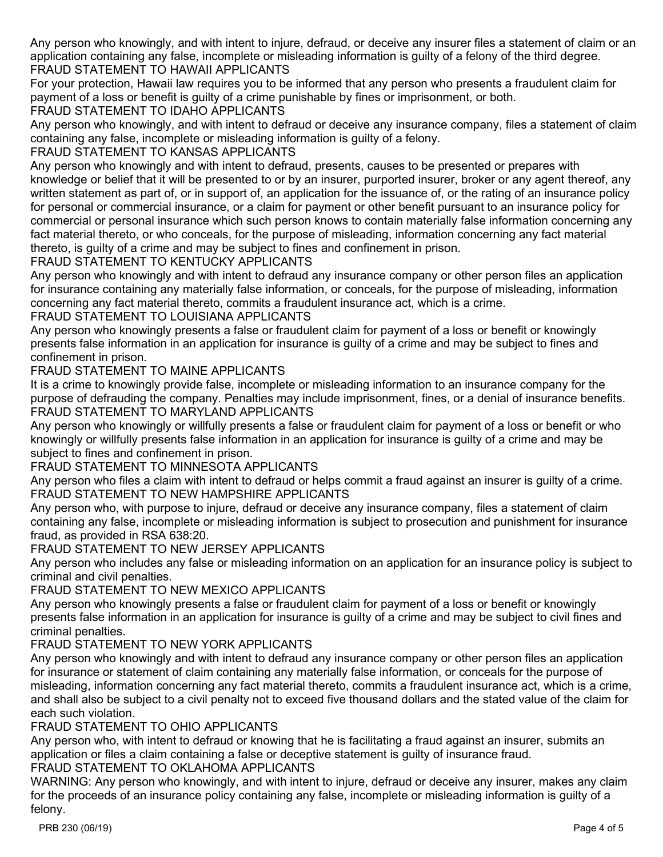Any person who knowingly, and with intent to injure, defraud, or deceive any insurer files a statement of claim or an application containing any false, incomplete or misleading information is guilty of a felony of the third degree. FRAUD STATEMENT TO HAWAII APPLICANTS

For your protection, Hawaii law requires you to be informed that any person who presents a fraudulent claim for payment of a loss or benefit is guilty of a crime punishable by fines or imprisonment, or both.

## FRAUD STATEMENT TO IDAHO APPLICANTS

Any person who knowingly, and with intent to defraud or deceive any insurance company, files a statement of claim containing any false, incomplete or misleading information is guilty of a felony.

## FRAUD STATEMENT TO KANSAS APPLICANTS

Any person who knowingly and with intent to defraud, presents, causes to be presented or prepares with knowledge or belief that it will be presented to or by an insurer, purported insurer, broker or any agent thereof, any written statement as part of, or in support of, an application for the issuance of, or the rating of an insurance policy for personal or commercial insurance, or a claim for payment or other benefit pursuant to an insurance policy for commercial or personal insurance which such person knows to contain materially false information concerning any fact material thereto, or who conceals, for the purpose of misleading, information concerning any fact material thereto, is guilty of a crime and may be subject to fines and confinement in prison.

### FRAUD STATEMENT TO KENTUCKY APPLICANTS

Any person who knowingly and with intent to defraud any insurance company or other person files an application for insurance containing any materially false information, or conceals, for the purpose of misleading, information concerning any fact material thereto, commits a fraudulent insurance act, which is a crime.

### FRAUD STATEMENT TO LOUISIANA APPLICANTS

Any person who knowingly presents a false or fraudulent claim for payment of a loss or benefit or knowingly presents false information in an application for insurance is guilty of a crime and may be subject to fines and confinement in prison.

## FRAUD STATEMENT TO MAINE APPLICANTS

It is a crime to knowingly provide false, incomplete or misleading information to an insurance company for the purpose of defrauding the company. Penalties may include imprisonment, fines, or a denial of insurance benefits. FRAUD STATEMENT TO MARYLAND APPLICANTS

Any person who knowingly or willfully presents a false or fraudulent claim for payment of a loss or benefit or who knowingly or willfully presents false information in an application for insurance is guilty of a crime and may be subject to fines and confinement in prison.

## FRAUD STATEMENT TO MINNESOTA APPLICANTS

Any person who files a claim with intent to defraud or helps commit a fraud against an insurer is guilty of a crime. FRAUD STATEMENT TO NEW HAMPSHIRE APPLICANTS

Any person who, with purpose to injure, defraud or deceive any insurance company, files a statement of claim containing any false, incomplete or misleading information is subject to prosecution and punishment for insurance fraud, as provided in RSA 638:20.

# FRAUD STATEMENT TO NEW JERSEY APPLICANTS

Any person who includes any false or misleading information on an application for an insurance policy is subject to criminal and civil penalties.

## FRAUD STATEMENT TO NEW MEXICO APPLICANTS

Any person who knowingly presents a false or fraudulent claim for payment of a loss or benefit or knowingly presents false information in an application for insurance is guilty of a crime and may be subject to civil fines and criminal penalties.

# FRAUD STATEMENT TO NEW YORK APPLICANTS

Any person who knowingly and with intent to defraud any insurance company or other person files an application for insurance or statement of claim containing any materially false information, or conceals for the purpose of misleading, information concerning any fact material thereto, commits a fraudulent insurance act, which is a crime, and shall also be subject to a civil penalty not to exceed five thousand dollars and the stated value of the claim for each such violation.

### FRAUD STATEMENT TO OHIO APPLICANTS

Any person who, with intent to defraud or knowing that he is facilitating a fraud against an insurer, submits an application or files a claim containing a false or deceptive statement is guilty of insurance fraud.

# FRAUD STATEMENT TO OKLAHOMA APPLICANTS

WARNING: Any person who knowingly, and with intent to injure, defraud or deceive any insurer, makes any claim for the proceeds of an insurance policy containing any false, incomplete or misleading information is guilty of a felony.